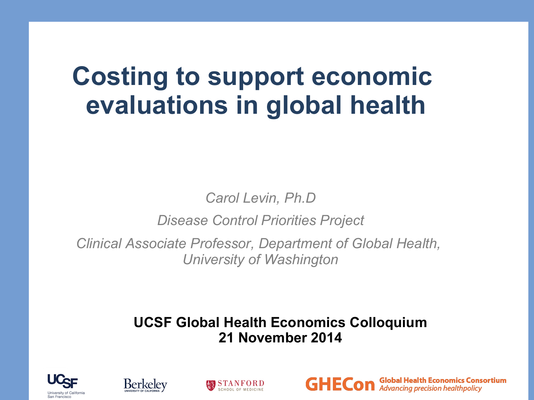## **Costing to support economic evaluations in global health**

*Carol Levin, Ph.D*

*Disease Control Priorities Project* 

*Clinical Associate Professor, Department of Global Health, University of Washington* 

#### **UCSF Global Health Economics Colloquium 21 November 2014**







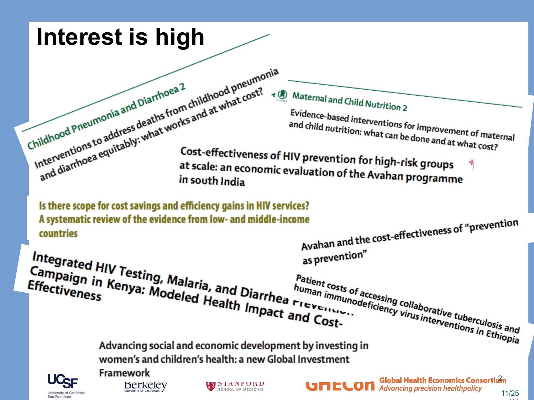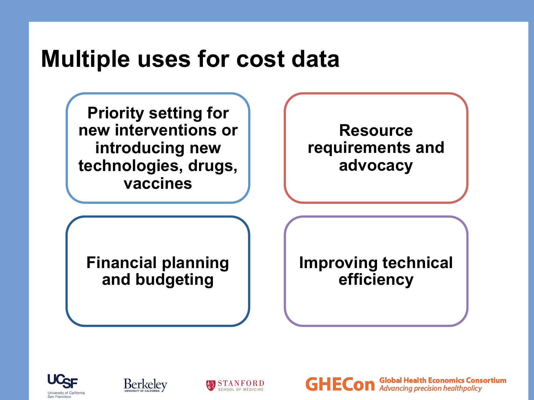### **Multiple uses for cost data**

**Priority setting for new interventions or introducing new technologies, drugs, vaccines**

**Resource requirements and advocacy**

**Financial planning and budgeting** 

**Improving technical efficiency** 

**Global Health Economics Consortium** 





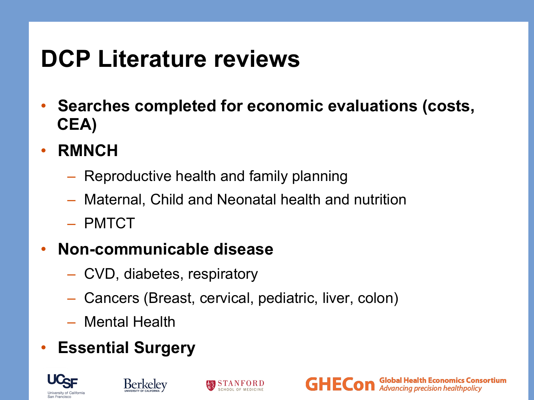## **DCP Literature reviews**

- **Searches completed for economic evaluations (costs, CEA)**
- **RMNCH** 
	- Reproductive health and family planning
	- Maternal, Child and Neonatal health and nutrition
	- PMTCT
- **Non-communicable disease** 
	- CVD, diabetes, respiratory
	- Cancers (Breast, cervical, pediatric, liver, colon)
	- Mental Health
- **Essential Surgery**







**Global Health Economics Consortium**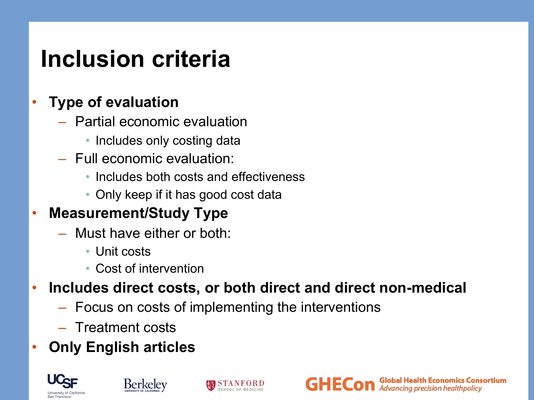### **Inclusion criteria**

#### • **Type of evaluation**

- Partial economic evaluation
	- Includes only costing data
- Full economic evaluation:
	- Includes both costs and effectiveness
	- Only keep if it has good cost data

#### • **Measurement/Study Type**

- Must have either or both:
	- Unit costs
	- Cost of intervention
- **Includes direct costs, or both direct and direct non-medical**
	- Focus on costs of implementing the interventions
	- Treatment costs
- **Only English articles**







**Global Health Economics Consortium Advancing precision healthpolicy**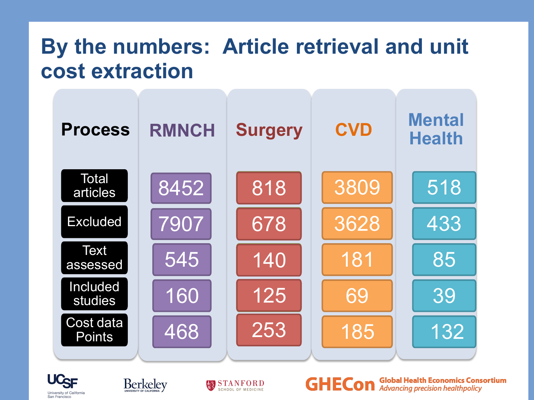### **By the numbers: Article retrieval and unit cost extraction**









**Global Health Economics Consortium GHECon Advancing precision healthpolicy**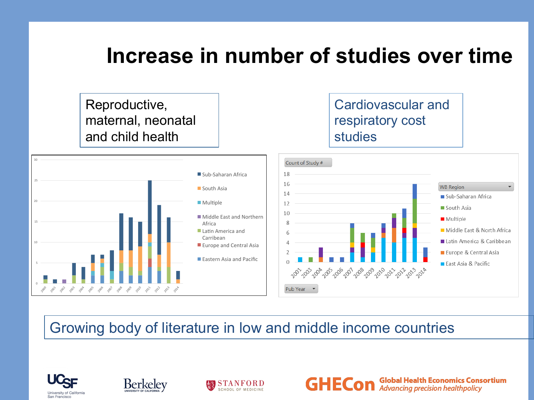#### **Increase in number of studies over time**

GHE

**Global Health Economics Consortium** 

**Advancing precision healthpolicy** 

Cardiovascular and Reproductive, maternal, neonatal respiratory cost and child health studies 30 Count of Study # Sub-Saharan Africa 18  $25$ 16 **WB Region**  $\blacksquare$  South Asia 14 Sub-Saharan Africa 20  $\blacksquare$  Multiple 12 South Asia 10 Middle East and Northern Multiple 15 Africa 8 Middle East & North Africa  $\blacksquare$  Latin America and Carribean Latin America & Caribbean 10 Europe and Central Asia Europe & Central Asia Eastern Asia and Pacific ■ East Asia & Pacific #" *᠊ᢈ*ᢨ᠈᠊ᡘᢨ᠈᠊ᡘᢨ᠈᠊ᢗᢨ᠈᠊ᢗᠣ᠂ᡘᠣ᠂ᡗᡐᡒ<sup>ᡗ</sup>ᢨ᠈᠊ᢗᡐ᠂ᢓᡐ᠈ᢣ᠅ᡒ᠅᠅ 0  $x^3$  $\mathcal{B}^{\mathcal{S}^{\mathcal{X}}}$ 100  $\sqrt[3]{8}$  $\sqrt[3]{8}$  $\mathcal{P}_{\!\!\mathcal{P}_\mathrm{S}}$ **2019** 200 200  $\mathscr{C}^\circ$ %  $\sqrt[3]{2}$  $\sqrt{2}$ Pub Year  $\mathcal{S}^{\circ}$  $\mathcal{R}_\mathrm{p}$ 

#### Growing body of literature in low and middle income countries





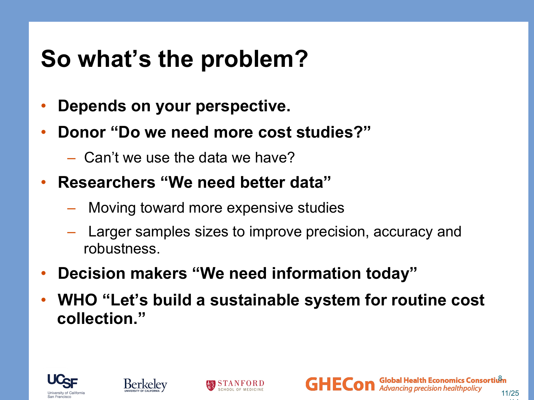## **So what's the problem?**

- **Depends on your perspective.**
- **Donor "Do we need more cost studies?"** 
	- Can't we use the data we have?
- **Researchers "We need better data"** 
	- Moving toward more expensive studies
	- Larger samples sizes to improve precision, accuracy and robustness.
- **Decision makers "We need information today"**
- **WHO "Let's build a sustainable system for routine cost collection."**







/14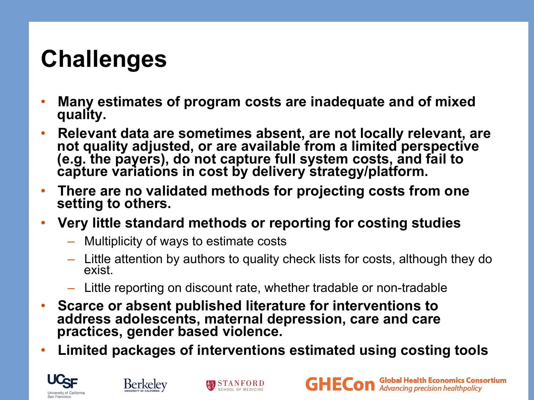## **Challenges**

- **Many estimates of program costs are inadequate and of mixed quality.**
- **Relevant data are sometimes absent, are not locally relevant, are not quality adjusted, or are available from a limited perspective (e.g. the payers), do not capture full system costs, and fail to capture variations in cost by delivery strategy/platform.**
- **There are no validated methods for projecting costs from one setting to others.**
- **Very little standard methods or reporting for costing studies** 
	- Multiplicity of ways to estimate costs
	- Little attention by authors to quality check lists for costs, although they do exist.
	- Little reporting on discount rate, whether tradable or non-tradable
- **Scarce or absent published literature for interventions to address adolescents, maternal depression, care and care practices, gender based violence.**
- **Limited packages of interventions estimated using costing tools**





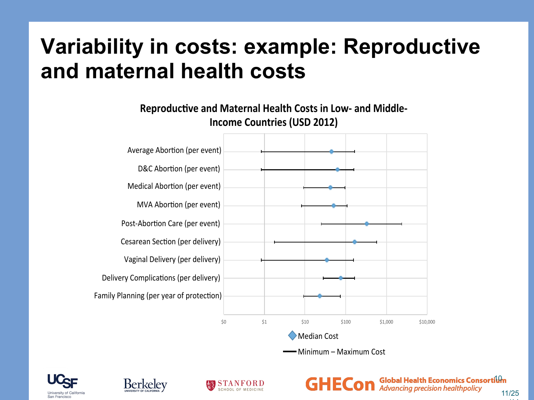### **Variability in costs: example: Reproductive and maternal health costs**









**Global Health Economics Consortium Advancing precision healthpolicy** 11/25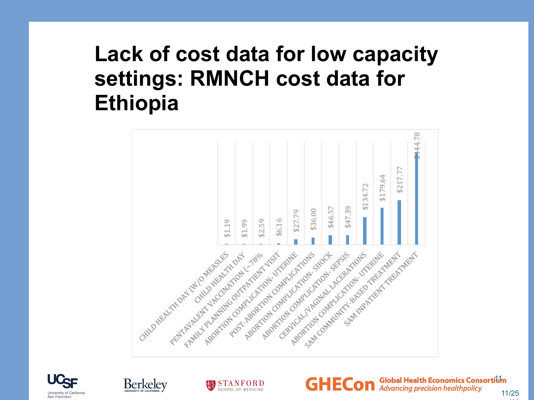### **Lack of cost data for low capacity settings: RMNCH cost data for Ethiopia**











/14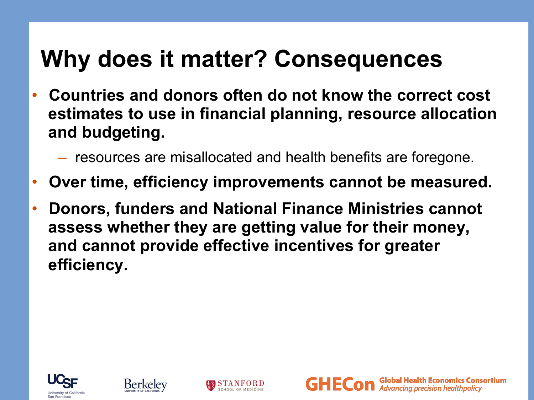## **Why does it matter? Consequences**

- **Countries and donors often do not know the correct cost estimates to use in financial planning, resource allocation and budgeting.** 
	- resources are misallocated and health benefits are foregone.
- **Over time, efficiency improvements cannot be measured.**
- **Donors, funders and National Finance Ministries cannot assess whether they are getting value for their money, and cannot provide effective incentives for greater efficiency.**







Global Health Economics Consortium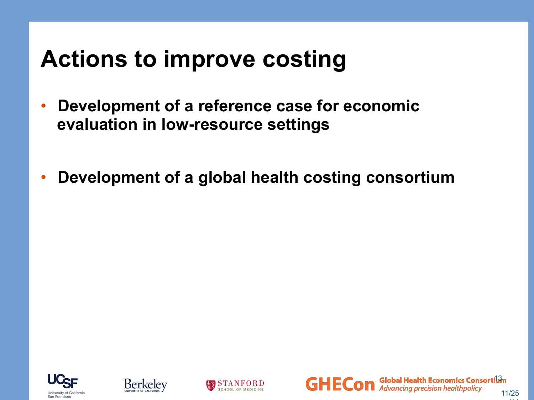## **Actions to improve costing**

- **Development of a reference case for economic evaluation in low-resource settings**
- **Development of a global health costing consortium**







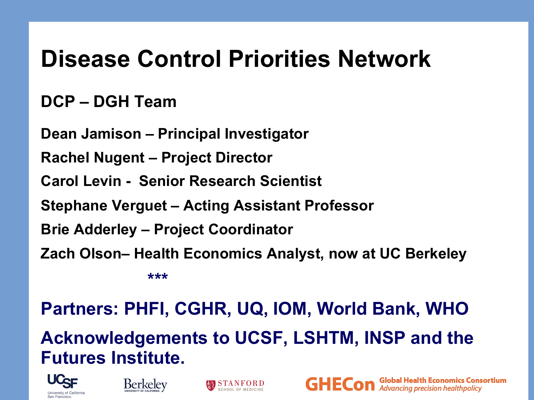## **Disease Control Priorities Network**

#### **DCP – DGH Team**

**Dean Jamison – Principal Investigator** 

**Rachel Nugent – Project Director** 

**Carol Levin - Senior Research Scientist** 

**Stephane Verguet – Acting Assistant Professor** 

**Brie Adderley – Project Coordinator** 

**Zach Olson– Health Economics Analyst, now at UC Berkeley** 

 **\*\*\*** 

#### **Partners: PHFI, CGHR, UQ, IOM, World Bank, WHO**

#### **Acknowledgements to UCSF, LSHTM, INSP and the Futures Institute.**

**Global Health Economics Consortium**